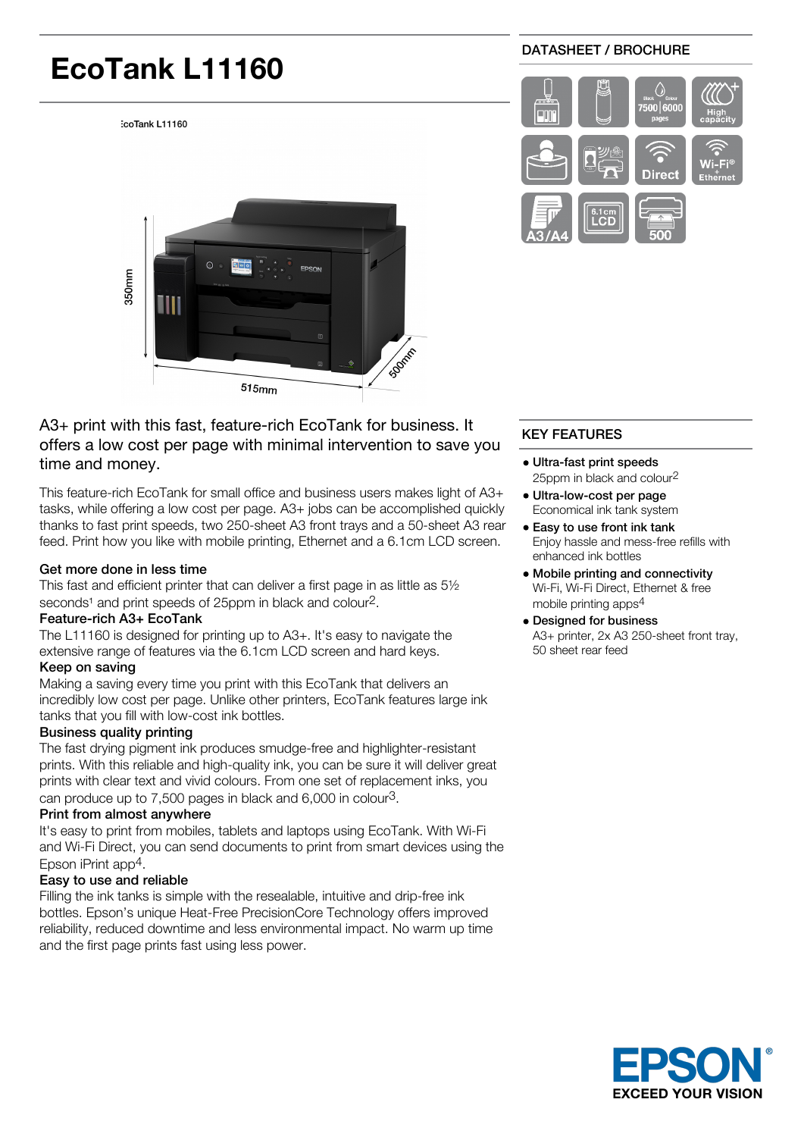# **EcoTank L11160**

coTank L11160

# DATASHEET / BROCHURE





# A3+ print with this fast, feature-rich EcoTank for business. It offers a low cost per page with minimal intervention to save you time and money.

This feature-rich EcoTank for small office and business users makes light of A3+ tasks, while offering a low cost per page. A3+ jobs can be accomplished quickly thanks to fast print speeds, two 250-sheet A3 front trays and a 50-sheet A3 rear feed. Print how you like with mobile printing, Ethernet and a 6.1cm LCD screen.

#### Get more done in less time

This fast and efficient printer that can deliver a first page in as little as 5½ seconds<sup>1</sup> and print speeds of 25ppm in black and colour<sup>2</sup>.

#### Feature-rich A3+ EcoTank

The L11160 is designed for printing up to A3+. It's easy to navigate the extensive range of features via the 6.1cm LCD screen and hard keys.

#### Keep on saving

Making a saving every time you print with this EcoTank that delivers an incredibly low cost per page. Unlike other printers, EcoTank features large ink tanks that you fill with low-cost ink bottles.

# Business quality printing

The fast drying pigment ink produces smudge-free and highlighter-resistant prints. With this reliable and high-quality ink, you can be sure it will deliver great prints with clear text and vivid colours. From one set of replacement inks, you can produce up to 7,500 pages in black and 6,000 in colour3.

# Print from almost anywhere

It's easy to print from mobiles, tablets and laptops using EcoTank. With Wi-Fi and Wi-Fi Direct, you can send documents to print from smart devices using the Epson iPrint app4.

# Easy to use and reliable

Filling the ink tanks is simple with the resealable, intuitive and drip-free ink bottles. Epson's unique Heat-Free PrecisionCore Technology offers improved reliability, reduced downtime and less environmental impact. No warm up time and the first page prints fast using less power.

# KEY FEATURES

- Ultra-fast print speeds 25ppm in black and colour2
- Ultra-low-cost per page Economical ink tank system
- Easy to use front ink tank Enjoy hassle and mess-free refills with enhanced ink bottles
- Mobile printing and connectivity Wi-Fi, Wi-Fi Direct, Ethernet & free mobile printing apps4
- Designed for business A3+ printer, 2x A3 250-sheet front tray, 50 sheet rear feed